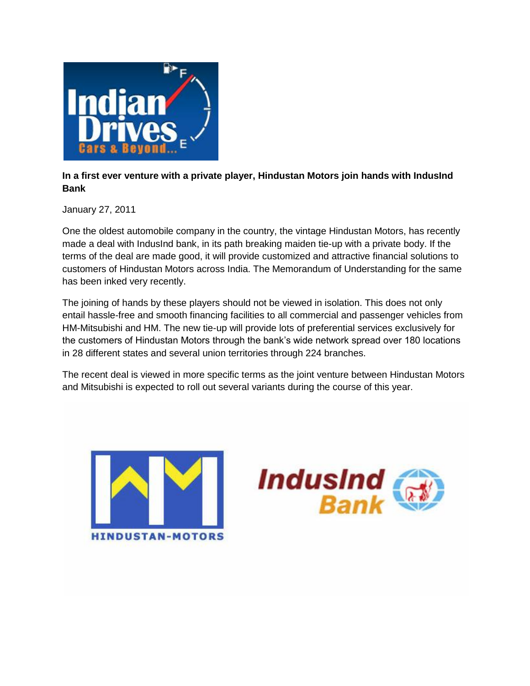

## **In a first ever venture with a private player, Hindustan Motors join hands with IndusInd Bank**

January 27, 2011

One the oldest automobile company in the country, the vintage Hindustan Motors, has recently made a deal with IndusInd bank, in its path breaking maiden tie-up with a private body. If the terms of the deal are made good, it will provide customized and attractive financial solutions to customers of Hindustan Motors across India. The Memorandum of Understanding for the same has been inked very recently.

The joining of hands by these players should not be viewed in isolation. This does not only entail hassle-free and smooth financing facilities to all commercial and passenger vehicles from HM-Mitsubishi and HM. The new tie-up will provide lots of preferential services exclusively for the customers of Hindustan Motors through the bank's wide network spread over 180 locations in 28 different states and several union territories through 224 branches.

The recent deal is viewed in more specific terms as the joint venture between Hindustan Motors and Mitsubishi is expected to roll out several variants during the course of this year.